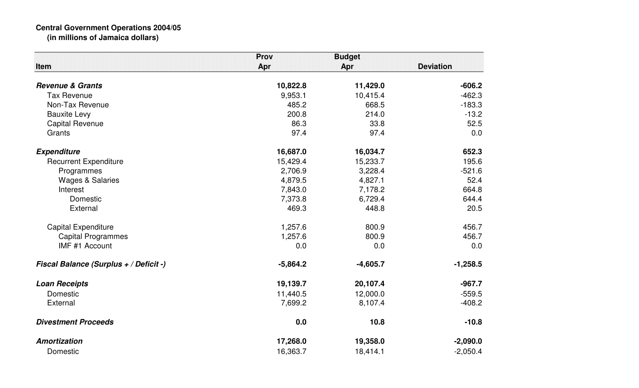## **Central Government Operations 2004/05 (in millions of Jamaica dollars)**

|                                        | Prov       | <b>Budget</b> |                  |
|----------------------------------------|------------|---------------|------------------|
| Item                                   | Apr        | Apr           | <b>Deviation</b> |
| <b>Revenue &amp; Grants</b>            | 10,822.8   | 11,429.0      | $-606.2$         |
| <b>Tax Revenue</b>                     | 9,953.1    | 10,415.4      | $-462.3$         |
| Non-Tax Revenue                        | 485.2      | 668.5         | $-183.3$         |
| <b>Bauxite Levy</b>                    | 200.8      | 214.0         | $-13.2$          |
| <b>Capital Revenue</b>                 | 86.3       | 33.8          | 52.5             |
| Grants                                 | 97.4       | 97.4          | 0.0              |
| <b>Expenditure</b>                     | 16,687.0   | 16,034.7      | 652.3            |
| <b>Recurrent Expenditure</b>           | 15,429.4   | 15,233.7      | 195.6            |
| Programmes                             | 2,706.9    | 3,228.4       | $-521.6$         |
| <b>Wages &amp; Salaries</b>            | 4,879.5    | 4,827.1       | 52.4             |
| Interest                               | 7,843.0    | 7,178.2       | 664.8            |
| Domestic                               | 7,373.8    | 6,729.4       | 644.4            |
| External                               | 469.3      | 448.8         | 20.5             |
| <b>Capital Expenditure</b>             | 1,257.6    | 800.9         | 456.7            |
| <b>Capital Programmes</b>              | 1,257.6    | 800.9         | 456.7            |
| IMF #1 Account                         | 0.0        | 0.0           | 0.0              |
| Fiscal Balance (Surplus + / Deficit -) | $-5,864.2$ | $-4,605.7$    | $-1,258.5$       |
| <b>Loan Receipts</b>                   | 19,139.7   | 20,107.4      | $-967.7$         |
| Domestic                               | 11,440.5   | 12,000.0      | $-559.5$         |
| External                               | 7,699.2    | 8,107.4       | $-408.2$         |
| <b>Divestment Proceeds</b>             | 0.0        | 10.8          | $-10.8$          |
| <b>Amortization</b>                    | 17,268.0   | 19,358.0      | $-2,090.0$       |
| Domestic                               | 16,363.7   | 18,414.1      | $-2,050.4$       |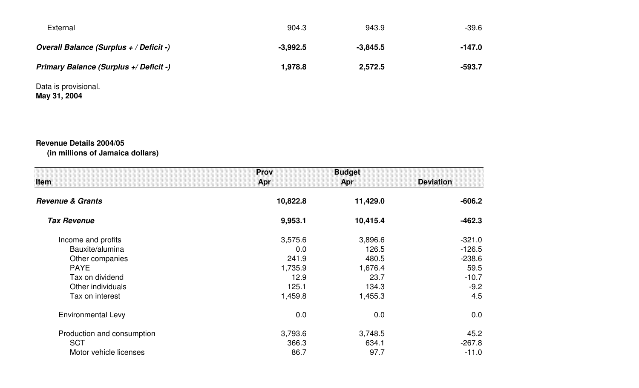| External                                | 904.3      | 943.9      | $-39.6$  |
|-----------------------------------------|------------|------------|----------|
| Overall Balance (Surplus + / Deficit -) | $-3.992.5$ | $-3,845.5$ | $-147.0$ |
| Primary Balance (Surplus +/ Deficit -)  | 1,978.8    | 2,572.5    | $-593.7$ |

Data is provisional. **May 31, 2004**

## **Revenue Details 2004/05(in millions of Jamaica dollars)**

| <b>Item</b>                 | <b>Prov</b><br>Apr | <b>Budget</b><br>Apr | <b>Deviation</b> |
|-----------------------------|--------------------|----------------------|------------------|
| <b>Revenue &amp; Grants</b> | 10,822.8           | 11,429.0             | $-606.2$         |
| <b>Tax Revenue</b>          | 9,953.1            | 10,415.4             | $-462.3$         |
| Income and profits          | 3,575.6            | 3,896.6              | $-321.0$         |
| Bauxite/alumina             | 0.0                | 126.5                | $-126.5$         |
| Other companies             | 241.9              | 480.5                | $-238.6$         |
| <b>PAYE</b>                 | 1,735.9            | 1,676.4              | 59.5             |
| Tax on dividend             | 12.9               | 23.7                 | $-10.7$          |
| Other individuals           | 125.1              | 134.3                | $-9.2$           |
| Tax on interest             | 1,459.8            | 1,455.3              | 4.5              |
| <b>Environmental Levy</b>   | 0.0                | 0.0                  | 0.0              |
| Production and consumption  | 3,793.6            | 3,748.5              | 45.2             |
| <b>SCT</b>                  | 366.3              | 634.1                | $-267.8$         |
| Motor vehicle licenses      | 86.7               | 97.7                 | $-11.0$          |